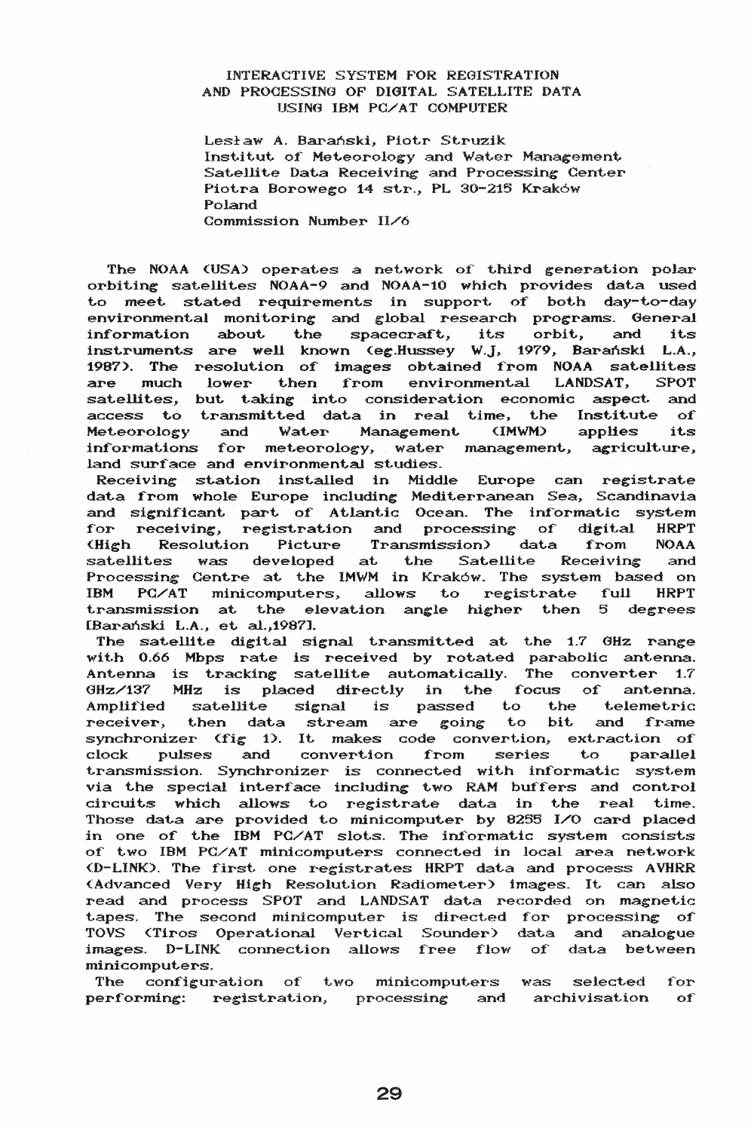## INTERACTIVE SYSTEM FOR REGISTRATION AND PROGESSING OF DIGITAL SATELLITE DATA USING IBM PC/AT COMPUTER

Lesław A. Barański, Piotr Struzik Institut of Meteorology and Water Management Satellite Data Receiving and Processing Center<br>Piotra Borowego 14 str., PL 30-215 Kraków Poland Commission Number II/6

The NOAA (USA) operates a network of third generation polar orbiting satellites NOAA-9 and NOAA-10 which provides data used to meet stated requirements in support of both day-to-day environmental monitoring and global research programs. General information about the spacecraft, its orbit, and its instruments are well known (eg.Hussey W.J, 1979, Barański L.A., 1987). The resolution of images obtained from NOAA satellites are much lower then from environmental LANDSAT, **SPOT** satellites, but taking into consideration economic aspect and access to transmitted data in real time, the Institute  $\alpha$ applies Water Management (IMWM) Meteorology and its informations for meteorology, water management, agriculture, land surface and environmental studies.

Receiving station installed in Middle Europe can registrate data from whole Europe including Mediterranean Sea, Scandinavia<br>and significant part of Atlantic Ocean. The informatic system<br>for receiving, registration and processing of digital HRPT (High Resolution Picture Transmission) data from **NOAA** satellites was developed at the Satellite Receiving and Processing Centre at the IMWM in Kraków. The system based on PC/AT minicomputers, allows to registrate full **HRPT TRM** transmission at the elevation angle higher then 5 degrees [Barański L.A., et al., 1987].

The satellite digital signal transmitted at the 1.7 GHz range with 0.66 Mbps rate is received by rotated parabolic antenna. Antenna is tracking satellite automatically. The converter 1.7 GHz/137 MHz is placed directly in the focus of antenna. Amplified satellite signal is passed to the telemetric receiver, then data stream are going to bit and frame synchronizer (fig 1). It makes code convertion, extraction of clock pulses and convertion from series to parallel transmission. Synchronizer is connected with informatic system via the special interface including two RAM buffers and control circuits which allows to registrate data in the real time. Those data are provided to minicomputer by 8255 I/O card placed in one of the IBM PC/AT slots. The informatic system consists of two IBM PC/AT minicomputers connected in local area network (D-LINK). The first one registrates HRPT data and process AVHRR (Advanced Very High Resolution Radiometer) images. It can also read and process SPOT and LANDSAT data recorded on magnetic tapes. The second minicomputer is directed for processing of TOVS (Tiros Operational Vertical Sounder) data and analogue images. D-LINK connection allows free flow of data between minicomputers.

The configuration of two minicomputers was selected for performing: registration, processing and archivisation of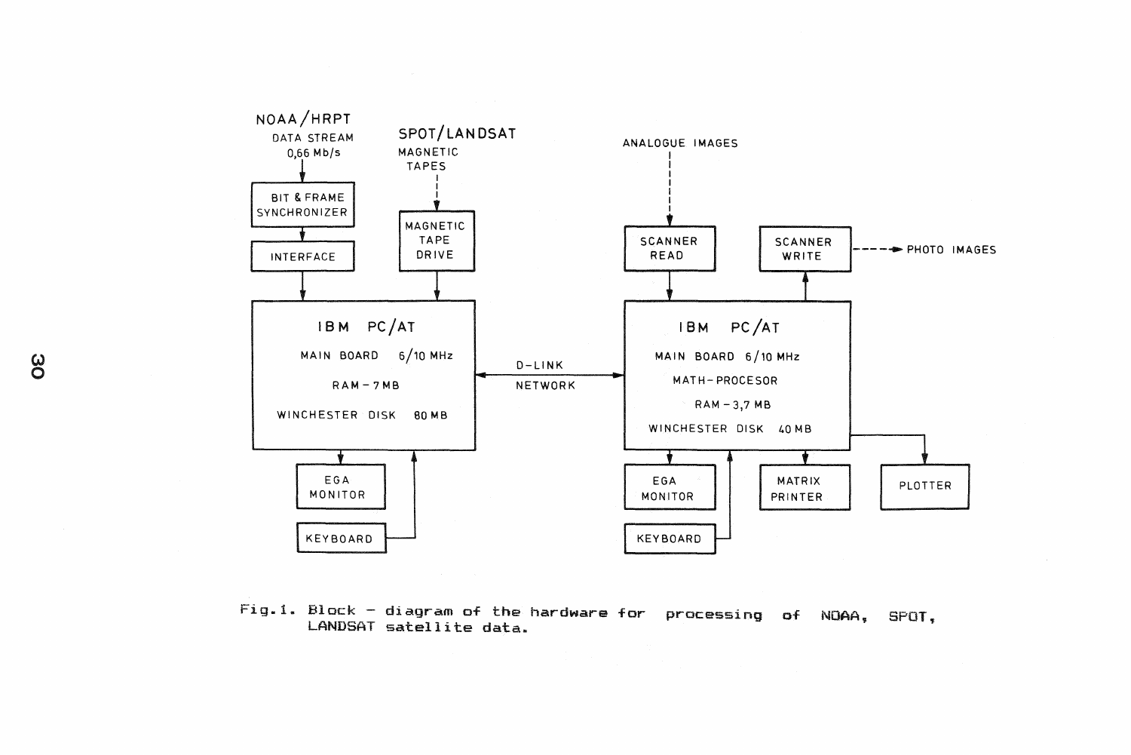

 ${\tt Fig.1.~Block}$  - diagram of the hardware for  $\,$  processing  $\,$  of  $\,$  NOAA,  $\,$  SPOT. LANDSAT satellite data.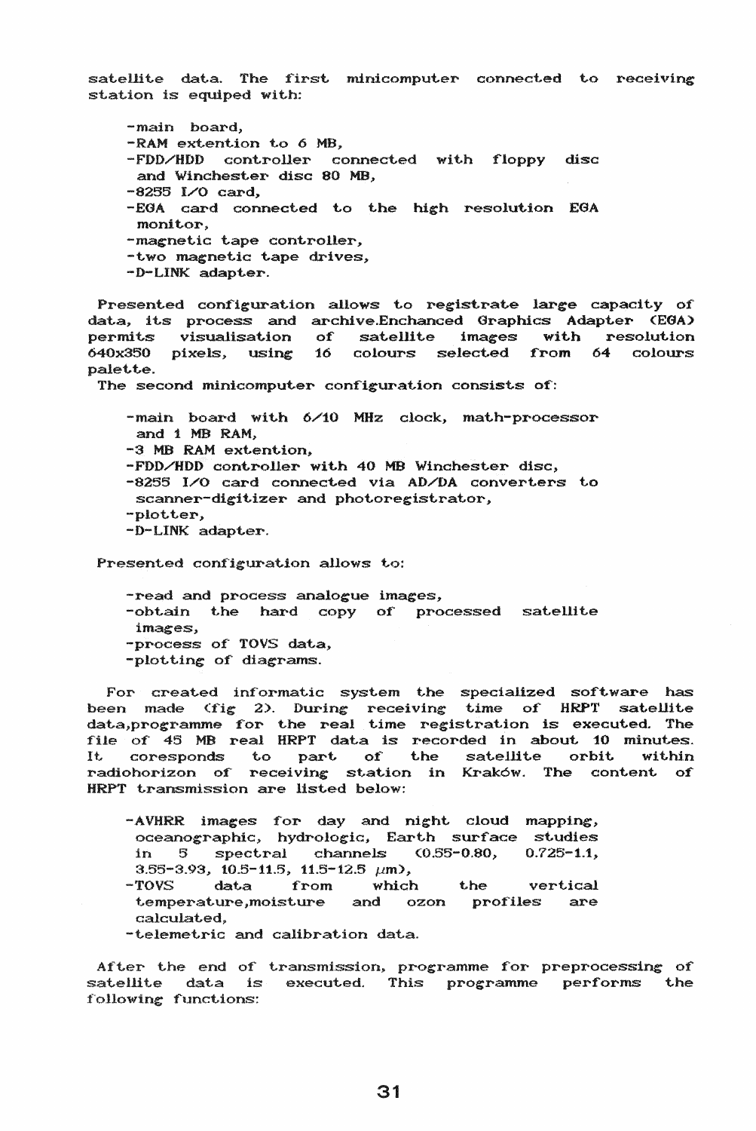satellite data. The first minicomputer connected to receiving station is equiped with:

-main board, -RAM extention to 6 MB, -FDD/HDD controller connected with floppy disc and Winchester disc 80 MB, -8256 I/O card, -EGA card connected to the high resolution EGA monitor. -magnetic tape controller, -two magnetic tape drives, -D-LINK adapter.

Presented configuration allows to registrate large capacity of data, its process and archive.Enchanced Graphics Adapter (EGA) permits visualisation of satellite images with resolution  $640x350$  pixels, using  $16$  colours selected from  $64$  colours palette.

The second minicomputer configuration consists of:

-main board with 6/10 MHz clock, math-processor and 1 MB RAM. -3 MB RAM extention, -FDD/HDD controller with 40 MB Winchester disc,  $-8255$  I/O card connected via AD/DA converters to scanner-digitizer and photoregistrator, -plotter, -D-LINK adapter.

Presented configuration allows to:

-read and process analogue images, -obtain the hard copy of processed satellite images, -process of TOVS data, -plotting of diagrams.

For created informatic system the specialized software has been made  $(fig 2)$ . During receiving time of HRPT satellite data,programme for the real time registration is executed. The decompregramme for the real time region over the encoding the corder of 45 MB real HRPT data is recorded in about 10 minutes. It. coresponds to part of the satellite orbit within radiohorizon of receiving station in Kraków. The content of HRPT transmission are listed below:

- -AVHRR images for day and night cloud mapping, oceanographic, hydrologic, Earth surface studies in  $5$  spectral channels  $(0.55-0.80, 0.725-1.1,$ 3.55-3.93, 10.5-11.5, 11.5-12.5  $\mu$ m),
- -TOVS data from which the vertical temperature, moisture and ozon profiles are calculated,
- -telemetric and calibration data.

After the end of transmission, programme for preprocessing of satellite data is executed. This programme performs the following functions: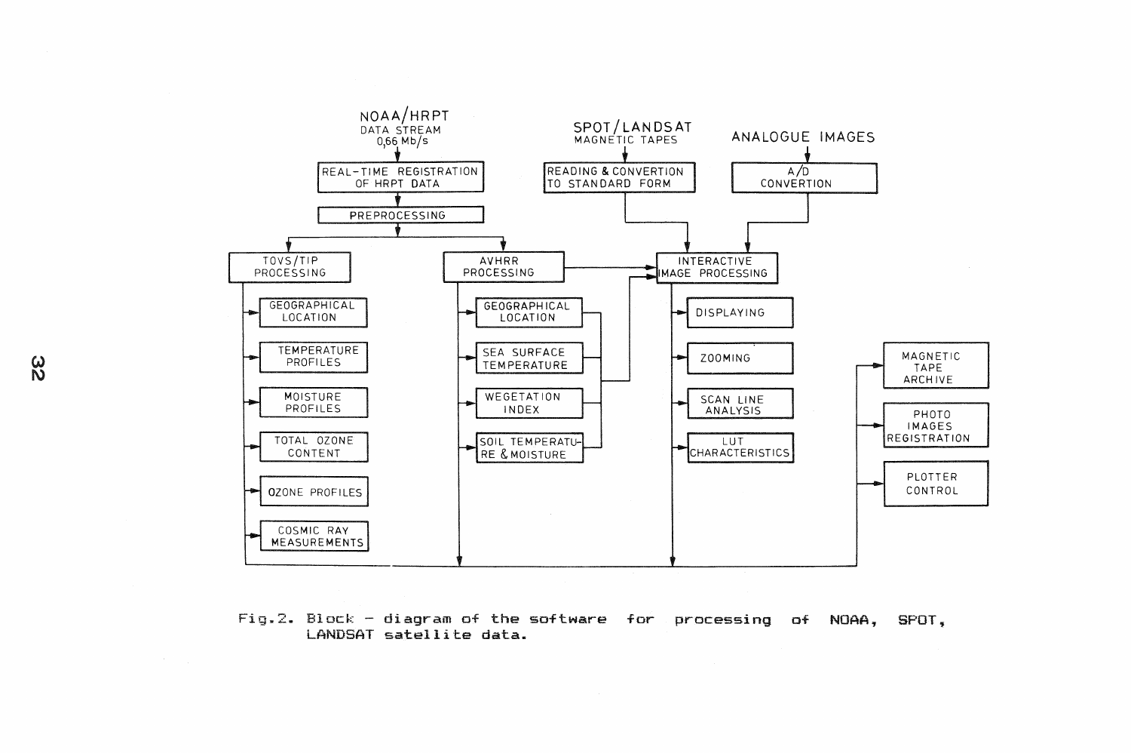

Fig.2. Block - diagram of the software for processing of NOAA, SPOT. LANDSAT satellite data.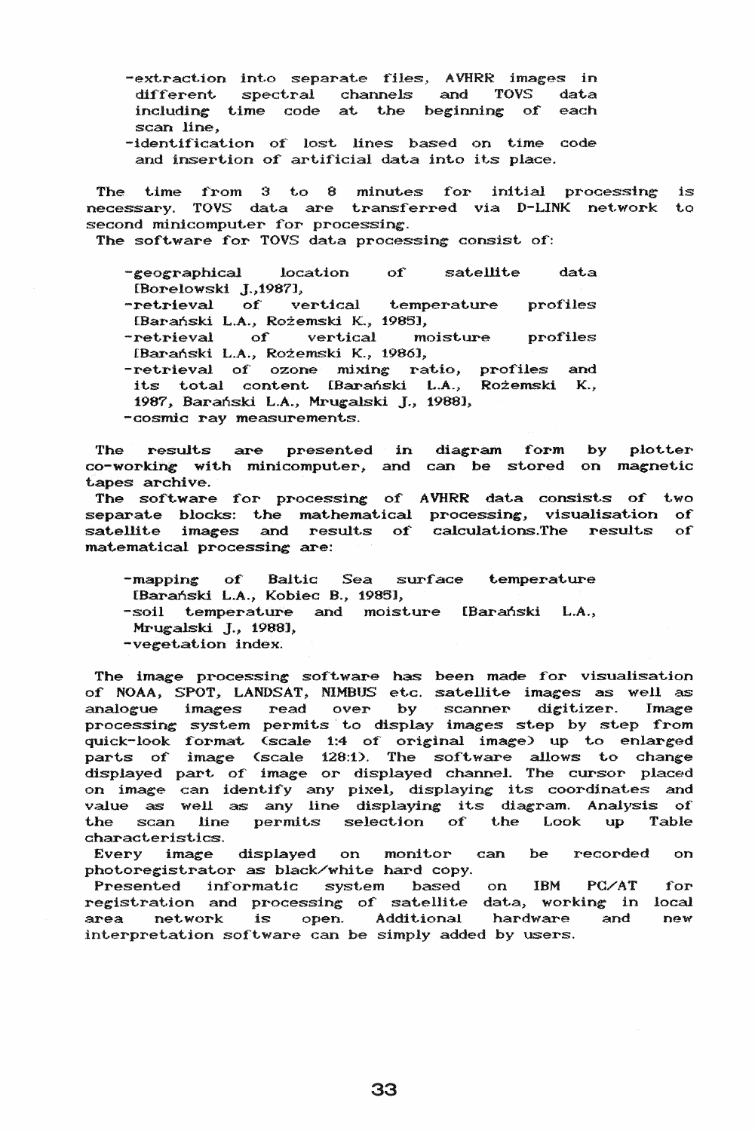- -extraction into separate files, AVHRR images in<br>different spectral channels and TOVS data different spectral channels and TOVS data<br>including time code at the beginning of each. including time code at the beginning of scan line,
- -identification of lost lines based on time code and insertion of artificial data into its place.

The time from 3 to 8 minutes for initial processing is necessary. TOVS data are transferred via D-LINK network to second minicomputer for processing.

The software for TOVS data processing consist of:

- -geographical location of satellite data [Borelowski J., 1987],
- -retrieval of vertical temperature profiles [Barański L.A., Rożemski K., 1985],
- -retrieval of vertical moisture profiles [Baranski L.A.> Rozemski K., 19861,
- -retrieval of ozone mixing ratio, profiles and its total content [Barański L.A., Rożemski K., 1987, Barański L.A., Mrugalski J., 1988], -cosmic ray measurements.

The results are presented in diagram form co-working with minicomputer, and can be stored on magnetic tapes archive. by plotter

The software for processing of AVHRR data consists of two separate blocks: the mathematical processing, visualisation of satellite images and results of calculations.The results of matematical processing are:

- -mapping of Baltic Sea surface temperature
- [Baranski L.A., Kobiec B., 19851,
- -soil temperature and moisture [Baranski L.A.,
- Mrugalski J., 1988],
- -vegetation index.

The image processing software has been made for visualisation of NOAA, SPOT, LANDSAT, NIMBUS etc. satellite images as well as analogue images read over by scanner digitizer. Image processing system permits to display images step by step from quick-look format (scale 1:4 of original image) up to enlarged parts of image (scale 128:1). The software allows to change displayed part. of' image or displayed channel. The cursor- placed on image can identify any pixel, displaying its coordinates and value as well as any line displaying its diagram. Analysis of the scan line permits selection of the Look up Table characteristics.

Every image displayed on monitor can be recorded on photoregistrator as black/white hard copy.

Presented informatic system based on IBM PC/AT for registration and processing of satellite data, working in local area network is open. Additional hardware and new interpretation software can be simply added by users.